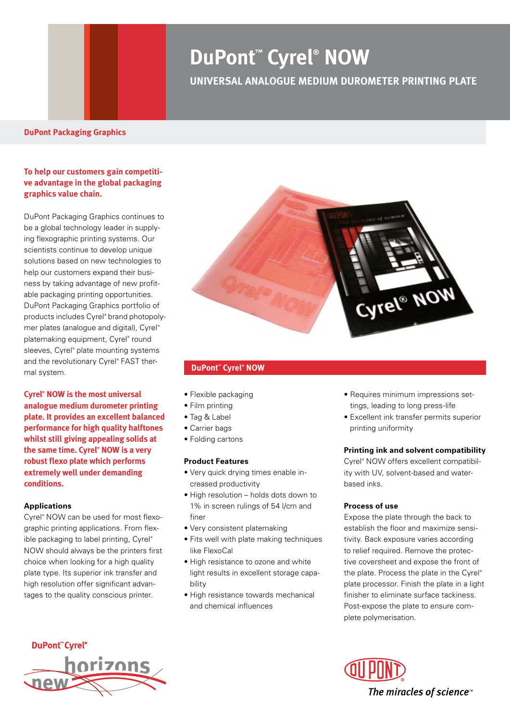# **DuPont™ Cyrel® NOW**

### **UNIVERSAL ANALOGUE MEDIUM DUROMETER PRINTING PLATE**

#### **To help our customers gain competitive advantage in the global packaging graphics value chain.**

DuPont Packaging Graphics continues to be a global technology leader in supplying flexographic printing systems. Our scientists continue to develop unique solutions based on new technologies to help our customers expand their business by taking advantage of new profitable packaging printing opportunities. DuPont Packaging Graphics portfolio of products includes Cyrel® brand photopolymer plates (analogue and digital), Cyrel® platemaking equipment, Cyrel<sup>®</sup> round sleeves, Cyrel® plate mounting systems and the revolutionary Cyrel® FAST thermal system.

**Cyrel® NOW is the most universal analogue medium durometer printing plate. It provides an excellent balanced performance for high quality halftones whilst still giving appealing solids at the same time. Cyrel® NOW is a very robust flexo plate which performs extremely well under demanding conditions.**

#### **Applications**

Cyrel® NOW can be used for most flexographic printing applications. From flexible packaging to label printing, Cyrel® NOW should always be the printers first choice when looking for a high quality plate type. Its superior ink transfer and high resolution offer significant advantages to the quality conscious printer.



#### **DuPont™ Cyrel® NOW**

- Flexible packaging
- Film printing
- • Tag & Label
- Carrier bags
- Folding cartons

#### **Product Features**

- • Very quick drying times enable increased productivity
- High resolution holds dots down to 1% in screen rulings of 54 l/cm and finer
- • Very consistent platemaking
- Fits well with plate making techniques like FlexoCal
- High resistance to ozone and white light results in excellent storage capability
- High resistance towards mechanical and chemical influences
- Requires minimum impressions settings, leading to long press-life
- • Excellent ink transfer permits superior printing uniformity

#### **Printing ink and solvent compatibility**

Cyrel® NOW offers excellent compatibility with UV, solvent-based and waterbased inks.

#### **Process of use**

Expose the plate through the back to establish the floor and maximize sensitivity. Back exposure varies according to relief required. Remove the protective coversheet and expose the front of the plate. Process the plate in the Cyrel® plate processor. Finish the plate in a light finisher to eliminate surface tackiness. Post-expose the plate to ensure complete polymerisation.



The miracles of science<sup>™</sup>